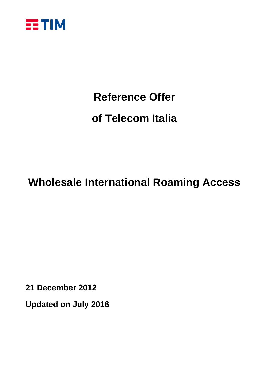

# **Reference Offer of Telecom Italia**

# **Wholesale International Roaming Access**

**21 December 2012**

**Updated on July 2016**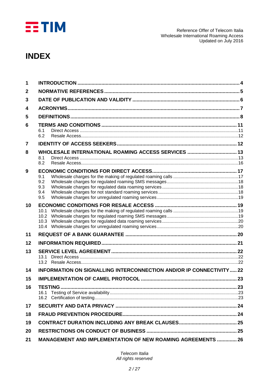

### **INDEX**

| 1      |                                                                          |  |
|--------|--------------------------------------------------------------------------|--|
| 2      |                                                                          |  |
| 3      |                                                                          |  |
| 4      |                                                                          |  |
| 5      |                                                                          |  |
| 6      | 6.1<br>6.2                                                               |  |
| 7      |                                                                          |  |
| 8<br>9 | WHOLESALE INTERNATIONAL ROAMING ACCESS SERVICES  13<br>8.1<br>8.2<br>9.1 |  |
|        | 9.2<br>9.3<br>9.4<br>9.5                                                 |  |
| 10     | 10.1<br>10.2<br>10.3                                                     |  |
| 11     |                                                                          |  |
| 12     |                                                                          |  |
| 13     | 13.1                                                                     |  |
| 14     | INFORMATION ON SIGNALLING INTERCONNECTION AND/OR IP CONNECTIVITY  22     |  |
| 15     |                                                                          |  |
| 16     | <b>TESTING</b>                                                           |  |
| 17     |                                                                          |  |
| 18     |                                                                          |  |
| 19     |                                                                          |  |
| 20     |                                                                          |  |
| 21     | <b>MANAGEMENT AND IMPLEMENTATION OF NEW ROAMING AGREEMENTS  26</b>       |  |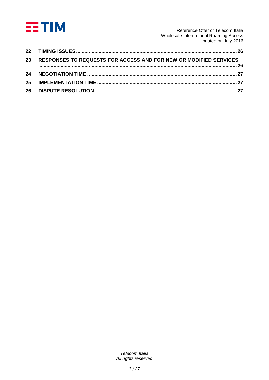

Reference Offer of Telecom Italia Wholesale International Roaming Access Updated on July 2016

| 23 RESPONSES TO REQUESTS FOR ACCESS AND FOR NEW OR MODIFIED SERVICES |  |
|----------------------------------------------------------------------|--|
|                                                                      |  |
|                                                                      |  |
|                                                                      |  |
|                                                                      |  |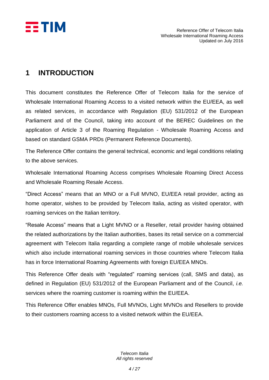

### <span id="page-3-0"></span>**1 INTRODUCTION**

This document constitutes the Reference Offer of Telecom Italia for the service of Wholesale International Roaming Access to a visited network within the EU/EEA, as well as related services, in accordance with Regulation (EU) 531/2012 of the European Parliament and of the Council, taking into account of the BEREC Guidelines on the application of Article 3 of the Roaming Regulation - Wholesale Roaming Access and based on standard GSMA PRDs (Permanent Reference Documents).

The Reference Offer contains the general technical, economic and legal conditions relating to the above services.

Wholesale International Roaming Access comprises Wholesale Roaming Direct Access and Wholesale Roaming Resale Access.

"Direct Access" means that an MNO or a Full MVNO, EU/EEA retail provider, acting as home operator, wishes to be provided by Telecom Italia, acting as visited operator, with roaming services on the Italian territory.

"Resale Access" means that a Light MVNO or a Reseller, retail provider having obtained the related authorizations by the Italian authorities, bases its retail service on a commercial agreement with Telecom Italia regarding a complete range of mobile wholesale services which also include international roaming services in those countries where Telecom Italia has in force International Roaming Agreements with foreign EU/EEA MNOs.

This Reference Offer deals with "regulated" roaming services (call, SMS and data), as defined in Regulation (EU) 531/2012 of the European Parliament and of the Council, *i.e.* services where the roaming customer is roaming within the EU/EEA.

This Reference Offer enables MNOs, Full MVNOs, Light MVNOs and Resellers to provide to their customers roaming access to a visited network within the EU/EEA.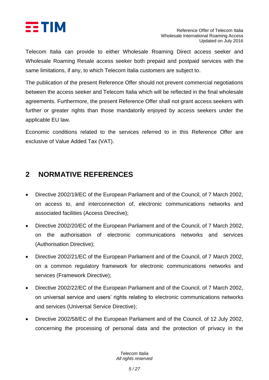

Telecom Italia can provide to either Wholesale Roaming Direct access seeker and Wholesale Roaming Resale access seeker both prepaid and postpaid services with the same limitations, if any, to which Telecom Italia customers are subject to.

The publication of the present Reference Offer should not prevent commercial negotiations between the access seeker and Telecom Italia which will be reflected in the final wholesale agreements. Furthermore, the present Reference Offer shall not grant access seekers with further or greater rights than those mandatorily enjoyed by access seekers under the applicable EU law.

Economic conditions related to the services referred to in this Reference Offer are exclusive of Value Added Tax (VAT).

### <span id="page-4-0"></span>**2 NORMATIVE REFERENCES**

- Directive 2002/19/EC of the European Parliament and of the Council, of 7 March 2002, on access to, and interconnection of, electronic communications networks and associated facilities (Access Directive);
- Directive 2002/20/EC of the European Parliament and of the Council, of 7 March 2002, on the authorisation of electronic communications networks and services (Authorisation Directive);
- Directive 2002/21/EC of the European Parliament and of the Council, of 7 March 2002, on a common regulatory framework for electronic communications networks and services (Framework Directive);
- Directive 2002/22/EC of the European Parliament and of the Council, of 7 March 2002, on universal service and users' rights relating to electronic communications networks and services (Universal Service Directive);
- Directive 2002/58/EC of the European Parliament and of the Council, of 12 July 2002, concerning the processing of personal data and the protection of privacy in the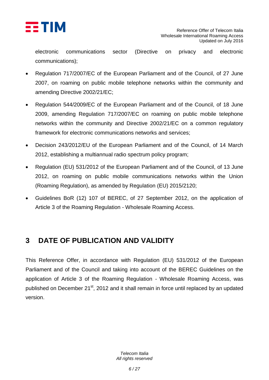

electronic communications sector (Directive on privacy and electronic communications);

- Regulation 717/2007/EC of the European Parliament and of the Council, of 27 June 2007, on roaming on public mobile telephone networks within the community and amending Directive 2002/21/EC;
- Regulation 544/2009/EC of the European Parliament and of the Council, of 18 June 2009, amending Regulation 717/2007/EC on roaming on public mobile telephone networks within the community and Directive 2002/21/EC on a common regulatory framework for electronic communications networks and services;
- Decision 243/2012/EU of the European Parliament and of the Council, of 14 March 2012, establishing a multiannual radio spectrum policy program;
- Regulation (EU) 531/2012 of the European Parliament and of the Council, of 13 June 2012, on roaming on public mobile communications networks within the Union (Roaming Regulation), as amended by Regulation (EU) 2015/2120;
- Guidelines BoR (12) 107 of BEREC, of 27 September 2012, on the application of Article 3 of the Roaming Regulation - Wholesale Roaming Access.

### <span id="page-5-0"></span>**3 DATE OF PUBLICATION AND VALIDITY**

This Reference Offer, in accordance with Regulation (EU) 531/2012 of the European Parliament and of the Council and taking into account of the BEREC Guidelines on the application of Article 3 of the Roaming Regulation - Wholesale Roaming Access, was published on December 21<sup>st</sup>, 2012 and it shall remain in force until replaced by an updated version.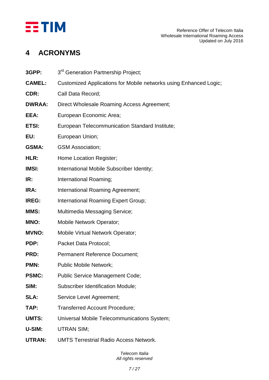

### <span id="page-6-0"></span>**4 ACRONYMS**

| 3GPP:         | 3rd Generation Partnership Project;                               |
|---------------|-------------------------------------------------------------------|
| <b>CAMEL:</b> | Customized Applications for Mobile networks using Enhanced Logic; |
| CDR:          | Call Data Record;                                                 |
| <b>DWRAA:</b> | Direct Wholesale Roaming Access Agreement;                        |
| EEA:          | European Economic Area;                                           |
| ETSI:         | European Telecommunication Standard Institute;                    |
| EU:           | European Union;                                                   |
| <b>GSMA:</b>  | <b>GSM Association;</b>                                           |
| HLR:          | Home Location Register;                                           |
| <b>IMSI:</b>  | International Mobile Subscriber Identity;                         |
| IR:           | International Roaming;                                            |
| IRA:          | International Roaming Agreement;                                  |
| <b>IREG:</b>  | International Roaming Expert Group;                               |
| MMS:          | Multimedia Messaging Service;                                     |
| MNO:          | Mobile Network Operator;                                          |
| <b>MVNO:</b>  | <b>Mobile Virtual Network Operator;</b>                           |
| PDP:          | Packet Data Protocol;                                             |
| PRD:          | <b>Permanent Reference Document;</b>                              |
| PMN:          | <b>Public Mobile Network;</b>                                     |
| <b>PSMC:</b>  | <b>Public Service Management Code;</b>                            |
| SIM:          | <b>Subscriber Identification Module;</b>                          |
| SLA:          | Service Level Agreement;                                          |
| TAP:          | <b>Transferred Account Procedure;</b>                             |
| <b>UMTS:</b>  | Universal Mobile Telecommunications System;                       |
| U-SIM:        | <b>UTRAN SIM;</b>                                                 |
|               |                                                                   |

**UTRAN:** UMTS Terrestrial Radio Access Network.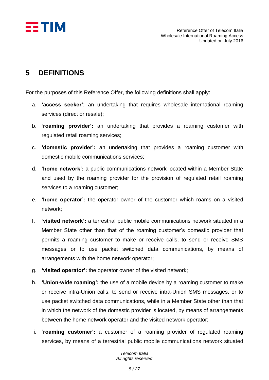

### <span id="page-7-0"></span>**5 DEFINITIONS**

For the purposes of this Reference Offer, the following definitions shall apply:

- a. **'access seeker':** an undertaking that requires wholesale international roaming services (direct or resale);
- b. **'roaming provider':** an undertaking that provides a roaming customer with regulated retail roaming services;
- c. **'domestic provider':** an undertaking that provides a roaming customer with domestic mobile communications services;
- d. **'home network':** a public communications network located within a Member State and used by the roaming provider for the provision of regulated retail roaming services to a roaming customer;
- e. **'home operator':** the operator owner of the customer which roams on a visited network;
- f. **'visited network':** a terrestrial public mobile communications network situated in a Member State other than that of the roaming customer's domestic provider that permits a roaming customer to make or receive calls, to send or receive SMS messages or to use packet switched data communications, by means of arrangements with the home network operator;
- g. **'visited operator':** the operator owner of the visited network;
- h. **'Union-wide roaming':** the use of a mobile device by a roaming customer to make or receive intra-Union calls, to send or receive intra-Union SMS messages, or to use packet switched data communications, while in a Member State other than that in which the network of the domestic provider is located, by means of arrangements between the home network operator and the visited network operator;
- i. **'roaming customer':** a customer of a roaming provider of regulated roaming services, by means of a terrestrial public mobile communications network situated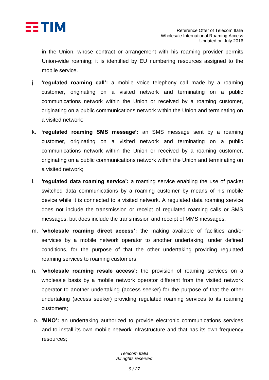

in the Union, whose contract or arrangement with his roaming provider permits Union-wide roaming; it is identified by EU numbering resources assigned to the mobile service.

- j. **'regulated roaming call':** a mobile voice telephony call made by a roaming customer, originating on a visited network and terminating on a public communications network within the Union or received by a roaming customer, originating on a public communications network within the Union and terminating on a visited network;
- k. **'regulated roaming SMS message':** an SMS message sent by a roaming customer, originating on a visited network and terminating on a public communications network within the Union or received by a roaming customer, originating on a public communications network within the Union and terminating on a visited network;
- l. **'regulated data roaming service':** a roaming service enabling the use of packet switched data communications by a roaming customer by means of his mobile device while it is connected to a visited network. A regulated data roaming service does not include the transmission or receipt of regulated roaming calls or SMS messages, but does include the transmission and receipt of MMS messages;
- m. **'wholesale roaming direct access':** the making available of facilities and/or services by a mobile network operator to another undertaking, under defined conditions, for the purpose of that the other undertaking providing regulated roaming services to roaming customers;
- n. **'wholesale roaming resale access':** the provision of roaming services on a wholesale basis by a mobile network operator different from the visited network operator to another undertaking (access seeker) for the purpose of that the other undertaking (access seeker) providing regulated roaming services to its roaming customers;
- o. **'MNO':** an undertaking authorized to provide electronic communications services and to install its own mobile network infrastructure and that has its own frequency resources;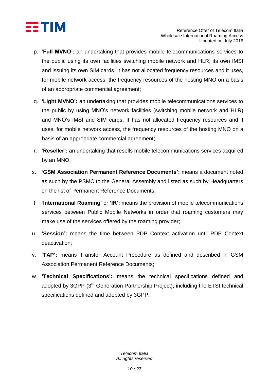

- p. **'Full MVNO':** an undertaking that provides mobile telecommunications services to the public using its own facilities switching mobile network and HLR, its own IMSI and issuing its own SIM cards. It has not allocated frequency resources and it uses, for mobile network access, the frequency resources of the hosting MNO on a basis of an appropriate commercial agreement;
- q. **'Light MVNO':** an undertaking that provides mobile telecommunications services to the public by using MNO's network facilities (switching mobile network and HLR) and MNO's IMSI and SIM cards. It has not allocated frequency resources and it uses, for mobile network access, the frequency resources of the hosting MNO on a basis of an appropriate commercial agreement;
- r. **'Reseller':** an undertaking that resells mobile telecommunications services acquired by an MNO;
- s. **'GSM Association Permanent Reference Documents':** means a document noted as such by the PSMC to the General Assembly and listed as such by Headquarters on the list of Permanent Reference Documents;
- t. **'International Roaming'** or **'IR':** means the provision of mobile telecommunications services between Public Mobile Networks in order that roaming customers may make use of the services offered by the roaming provider;
- u. **'Session':** means the time between PDP Context activation until PDP Context deactivation;
- v. **'TAP':** means Transfer Account Procedure as defined and described in GSM Association Permanent Reference Documents;
- w. **'Technical Specifications':** means the technical specifications defined and adopted by 3GPP (3<sup>rd</sup> Generation Partnership Project), including the ETSI technical specifications defined and adopted by 3GPP.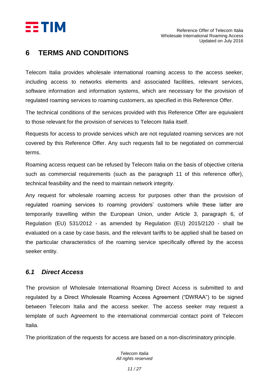

#### <span id="page-10-0"></span>**6 TERMS AND CONDITIONS**

Telecom Italia provides wholesale international roaming access to the access seeker, including access to networks elements and associated facilities, relevant services, software information and information systems, which are necessary for the provision of regulated roaming services to roaming customers, as specified in this Reference Offer.

The technical conditions of the services provided with this Reference Offer are equivalent to those relevant for the provision of services to Telecom Italia itself.

Requests for access to provide services which are not regulated roaming services are not covered by this Reference Offer. Any such requests fall to be negotiated on commercial terms.

Roaming access request can be refused by Telecom Italia on the basis of objective criteria such as commercial requirements (such as the paragraph 11 of this reference offer), technical feasibility and the need to maintain network integrity.

Any request for wholesale roaming access for purposes other than the provision of regulated roaming services to roaming providers' customers while these latter are temporarily travelling within the European Union, under Article 3, paragraph 6, of Regulation (EU) 531/2012 - as amended by Regulation (EU) 2015/2120 - shall be evaluated on a case by case basis, and the relevant tariffs to be applied shall be based on the particular characteristics of the roaming service specifically offered by the access seeker entity.

#### <span id="page-10-1"></span>*6.1 Direct Access*

The provision of Wholesale International Roaming Direct Access is submitted to and regulated by a Direct Wholesale Roaming Access Agreement ("DWRAA") to be signed between Telecom Italia and the access seeker. The access seeker may request a template of such Agreement to the international commercial contact point of Telecom Italia.

The prioritization of the requests for access are based on a non-discriminatory principle.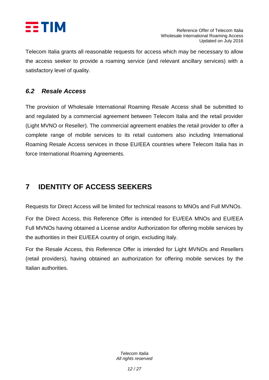

Telecom Italia grants all reasonable requests for access which may be necessary to allow the access seeker to provide a roaming service (and relevant ancillary services) with a satisfactory level of quality.

#### <span id="page-11-0"></span>*6.2 Resale Access*

The provision of Wholesale International Roaming Resale Access shall be submitted to and regulated by a commercial agreement between Telecom Italia and the retail provider (Light MVNO or Reseller). The commercial agreement enables the retail provider to offer a complete range of mobile services to its retail customers also including International Roaming Resale Access services in those EU/EEA countries where Telecom Italia has in force International Roaming Agreements.

### <span id="page-11-1"></span>**7 IDENTITY OF ACCESS SEEKERS**

Requests for Direct Access will be limited for technical reasons to MNOs and Full MVNOs.

For the Direct Access, this Reference Offer is intended for EU/EEA MNOs and EU/EEA Full MVNOs having obtained a License and/or Authorization for offering mobile services by the authorities in their EU/EEA country of origin, excluding Italy.

For the Resale Access, this Reference Offer is intended for Light MVNOs and Resellers (retail providers), having obtained an authorization for offering mobile services by the Italian authorities.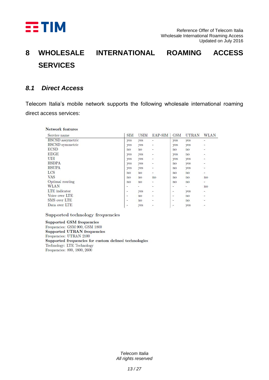

# <span id="page-12-0"></span>**8 WHOLESALE INTERNATIONAL ROAMING ACCESS SERVICES**

#### <span id="page-12-1"></span>*8.1 Direct Access*

Telecom Italia's mobile network supports the following wholesale international roaming direct access services:

| Service name         | <b>SIM</b>               | <b>USIM</b>    | EAP-SIM                  | <b>GSM</b>               | <b>UTRAN</b> | <b>WLAN</b>              |
|----------------------|--------------------------|----------------|--------------------------|--------------------------|--------------|--------------------------|
| HSCSD assymetric     | yes                      | <b>yes</b>     | C.                       | yes                      | yes          | -                        |
| HSCSD symmetric      | yes                      | yes            | Ξ.                       | yes                      | yes          | -                        |
| <b>ECSD</b>          | no                       | no             | u                        | $\overline{110}$         | no           | ۷                        |
| <b>EDGE</b>          | yes                      | yes            | C                        | yes                      | no           | $\overline{\mathcal{Z}}$ |
| <b>UDI</b>           | yes                      | yes            | ÷                        | yes                      | yes          | ۰                        |
| <b>HSDPA</b>         | yes                      | yes            | ÷,                       | no                       | ves          | $\overline{\phantom{a}}$ |
| <b>HSUPA</b>         | yes                      | yes            | L                        | no                       | yes          | ٤                        |
| LCS                  | no                       | no             | ÷                        | no                       | no           | -                        |
| <b>VAS</b>           | no                       | no             | no                       | no                       | no           | no                       |
| Optimal routing      | no                       | $\overline{p}$ | u                        | no                       | no           | ÷.                       |
| <b>WLAN</b>          | $\overline{\phantom{0}}$ | ۷              | ú,                       | -                        | s.           | no                       |
| <b>LTE</b> indicator | $\overline{\phantom{a}}$ | yes            | ÷                        | $\overline{\phantom{a}}$ | yes          | ۰.                       |
| Voice over LTE       | $\overline{\phantom{0}}$ | n <sub>o</sub> | ÷.                       | $\overline{\phantom{a}}$ | no           | -                        |
| <b>SMS</b> over LTE  | $\overline{\phantom{a}}$ | no             | $\overline{\phantom{a}}$ | ٤                        | no           | ۷                        |
| Data over LTE        | $\overline{\phantom{a}}$ | yes            | Ξ                        | Ξ                        | yes          | ۰                        |

Supported technology frequencies

Supported GSM frequencies Frequencies: GSM 900, GSM 1800 Supported UTRAN frequencies Frequencies: UTRAN 2100 Supported frequencies for custom defined technologies Technology: LTE Technology Frequencies: 800, 1800, 2600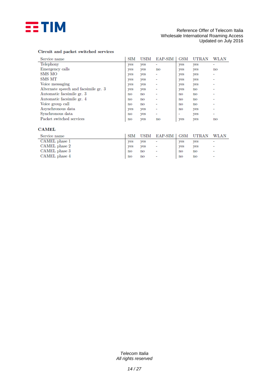

#### Reference Offer of Telecom Italia Wholesale International Roaming Access Updated on July 2016

#### Circuit and packet switched services

| Service name                         | <b>SIM</b> | USIM | EAP-SIM                | <b>GSM</b> | UTRAN                  | WLAN                     |
|--------------------------------------|------------|------|------------------------|------------|------------------------|--------------------------|
| Telephony                            | yes        | yes  | -                      | ves        | yes                    |                          |
| Emergency calls                      | yes        | yes  | $\mathbf{n}\mathbf{o}$ | ves        | yes                    | no                       |
| SMS MO                               | yes        | yes  | -                      | yes        | yes                    |                          |
| SMS MT                               | yes        | yes  |                        | yes        | yes                    |                          |
| Voice messaging                      | yes        | yes  |                        | yes        | yes                    |                          |
| Alternate speech and facsimile gr. 3 | yes        | yes  |                        | <b>ves</b> | $\mathbf{no}$          |                          |
| Automatic facsimile gr. 3            | no         | no   |                        | no         | $\mathbf{n}\mathbf{o}$ |                          |
| Automatic facsimile gr. 4            | no         | no   |                        | no         | $\mathbf{no}$          |                          |
| Voice group call                     | no         | no   |                        | no         | $\mathbf{n}\mathbf{o}$ |                          |
| Asynchronous data                    | yes        | yes  |                        | no         | yes                    |                          |
| Synchronous data                     | no         | yes  | -                      | ٠          | yes                    | $\overline{\phantom{a}}$ |
| Packet switched services             | no         | yes  | $\mathbf{no}$          | yes        | <b>ves</b>             | no                       |

#### **CAMEL**

| Service name  | SIM                    |     | USIM EAP-SIM GSM UTRAN |                        |                        | WLAN                     |
|---------------|------------------------|-----|------------------------|------------------------|------------------------|--------------------------|
| CAMEL phase 1 | <b>ves</b>             | ves | ۰                      | ves                    | yes                    | $\overline{\phantom{a}}$ |
| CAMEL phase 2 | <b>ves</b>             | ves | ۰                      | ves                    | yes                    | $\overline{\phantom{a}}$ |
| CAMEL phase 3 | no                     | no  | ۰                      | no                     | $\mathbf{no}$          | $\overline{\phantom{a}}$ |
| CAMEL phase 4 | $\mathbf{n}\mathbf{o}$ | no  | ٠                      | $\mathbf{n}\mathbf{o}$ | $\mathbf{n}\mathbf{o}$ | ٠                        |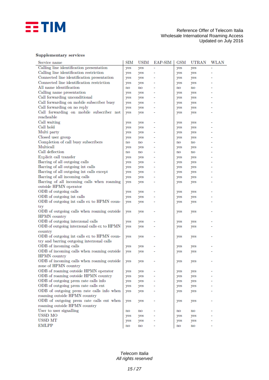

#### **Supplementary services**

| Service name                                | SIM                    | <b>USIM</b> | EAP-SIM | <b>GSM</b>                 | <b>UTRAN</b>           | WLAN |
|---------------------------------------------|------------------------|-------------|---------|----------------------------|------------------------|------|
| Calling line identification presentation    | yes                    | yes         |         | yes                        | yes                    |      |
| Calling line identification restriction     | yes                    | yes         | ۰       | yes                        | yes                    |      |
| Connected line identification presentation  | yes                    | yes         |         | yes                        | yes                    |      |
| Connected line identification restriction   | yes                    | yes         |         | yes                        | yes                    |      |
| All name identification                     | no                     | no          |         | $\mathbf{n}\mathbf{o}$     | $\mathbf{no}$          |      |
| Calling name presentation                   | yes                    | yes         |         | yes                        | yes                    |      |
| Call forwarding unconditional               | yes                    | yes         |         | yes                        | yes                    |      |
| Call forwarding on mobile subscriber busy   | yes                    | yes         |         | yes                        | yes                    |      |
| Call forwarding on no reply                 | yes                    | yes         |         | yes                        | yes                    |      |
| Call forwarding on mobile subscriber not    | yes                    | yes         |         | yes                        | yes                    |      |
| reacheable                                  |                        |             |         |                            |                        |      |
| Call waiting                                | yes                    | yes         | ۰       | yes                        | yes                    | ۰    |
| Call hold                                   | yes                    | yes         |         | yes                        | yes                    |      |
| Multi party                                 | yes                    | yes         |         | yes                        | yes                    |      |
| Closed user group                           | yes                    | yes         |         | yes                        | yes                    |      |
| Completion of call busy subscribers         | $\mathbf{n}\mathbf{o}$ | no          |         | $\mathop{\rm no}\nolimits$ | $\mathbf{no}$          |      |
| Multicall                                   | yes                    | yes         |         | yes                        | yes                    |      |
| Call deflection                             | no                     | no          |         | no                         | $\mathbf{n}\mathbf{o}$ |      |
| Explicit call transfer                      | yes                    | yes         |         | yes                        | yes                    |      |
| Barring of all outgoing calls               | yes                    | yes         |         | yes                        | yes                    |      |
| Barring of all outgoing int calls           | yes                    | yes         |         | yes                        | yes                    |      |
| Barring of all outgoing int calls except    | yes                    | yes         |         | yes                        | yes                    |      |
| Barring of all incoming calls               | yes                    | yes         |         | yes                        | yes                    |      |
| Barring of all incoming calls when roaming  | yes                    | yes         |         | yes                        | yes                    |      |
| outside HPMN operator                       |                        |             |         |                            |                        |      |
| ODB of outgoing calls                       | yes                    | yes         |         | yes                        | yes                    | ۰    |
| ODB of outgoing int calls                   | yes                    | yes         |         | yes                        | yes                    |      |
| ODB of outgoing int calls ex to HPMN coun-  | yes                    | yes         |         | yes                        | yes                    |      |
| try                                         |                        |             |         |                            |                        |      |
| ODB of outgoing calls when roaming outside  | yes                    | yes         |         | yes                        | yes                    |      |
| <b>HPMN</b> country                         |                        |             |         |                            |                        |      |
| ODB of outgoing interzonal calls            | yes                    | yes         |         | yes                        | yes                    |      |
| ODB of outgoing interzonal calls ex to HPMN | yes                    | yes         |         | yes                        | yes                    |      |
| country                                     |                        |             |         |                            |                        |      |
| ODB of outgoing int calls ex to HPMN coun-  | yes                    | yes         |         | yes                        | yes                    |      |
| try and barring outgoing interzonal calls   |                        |             |         |                            |                        |      |
| ODB of incoming calls                       | yes                    | yes         |         | yes                        | yes                    |      |
| ODB of incoming calls when roaming outside  | yes                    | yes         |         | yes                        | yes                    |      |
| <b>HPMN</b> country                         |                        |             |         |                            |                        |      |
| ODB of incoming calls when roaming outside  | yes                    | yes         |         | yes                        | yes                    |      |
| zone of HPMN country                        |                        |             |         |                            |                        |      |
| ODB of roaming outside HPMN operator        | yes                    | yes         |         | yes                        | yes                    |      |
| ODB of roaming outside HPMN country         | yes                    | yes         |         | yes                        | yes                    |      |
| ODB of outgoing prem rate calls info        | yes                    | yes         |         | yes                        | yes                    |      |
| ODB of outgoing prem rate calls ent         | yes                    | yes         |         | yes                        | yes                    |      |
| ODB of outgoing prem rate calls info when   | yes                    | yes         |         | yes                        | yes                    |      |
| roaming outside HPMN country                |                        |             |         |                            |                        |      |
| ODB of outgoing prem rate calls ent when    | yes                    | yes         |         | yes                        | yes                    |      |
| roaming outside HPMN country                |                        |             |         |                            |                        |      |
| User to user signalling                     | $\mathbf{n}\mathbf{o}$ | no          |         | no                         | $\mathbf{no}$          |      |
| USSD MO                                     | yes                    | yes         |         | yes                        | yes                    |      |
| USSD MT                                     | yes                    | yes         |         | yes                        | yes                    |      |
| <b>EMLPP</b>                                | $\mathbf{n}\mathbf{o}$ | no          |         | $\mathbf{n}\mathbf{o}$     | no                     |      |
|                                             |                        |             |         |                            |                        |      |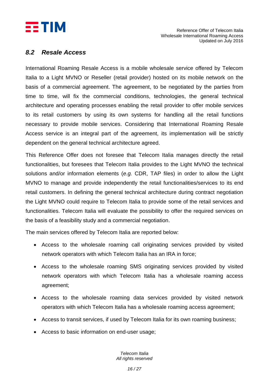

#### <span id="page-15-0"></span>*8.2 Resale Access*

International Roaming Resale Access is a mobile wholesale service offered by Telecom Italia to a Light MVNO or Reseller (retail provider) hosted on its mobile network on the basis of a commercial agreement. The agreement, to be negotiated by the parties from time to time, will fix the commercial conditions, technologies, the general technical architecture and operating processes enabling the retail provider to offer mobile services to its retail customers by using its own systems for handling all the retail functions necessary to provide mobile services. Considering that International Roaming Resale Access service is an integral part of the agreement, its implementation will be strictly dependent on the general technical architecture agreed.

This Reference Offer does not foresee that Telecom Italia manages directly the retail functionalities, but foresees that Telecom Italia provides to the Light MVNO the technical solutions and/or information elements (*e.g.* CDR, TAP files) in order to allow the Light MVNO to manage and provide independently the retail functionalities/services to its end retail customers. In defining the general technical architecture during contract negotiation the Light MVNO could require to Telecom Italia to provide some of the retail services and functionalities. Telecom Italia will evaluate the possibility to offer the required services on the basis of a feasibility study and a commercial negotiation.

The main services offered by Telecom Italia are reported below:

- Access to the wholesale roaming call originating services provided by visited network operators with which Telecom Italia has an IRA in force;
- Access to the wholesale roaming SMS originating services provided by visited network operators with which Telecom Italia has a wholesale roaming access agreement;
- Access to the wholesale roaming data services provided by visited network operators with which Telecom Italia has a wholesale roaming access agreement;
- Access to transit services, if used by Telecom Italia for its own roaming business;
- Access to basic information on end-user usage;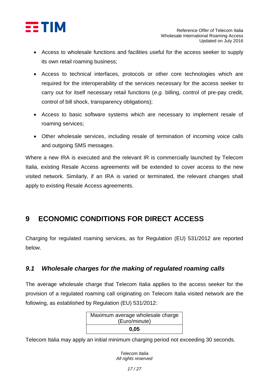

- Access to wholesale functions and facilities useful for the access seeker to supply its own retail roaming business;
- Access to technical interfaces, protocols or other core technologies which are required for the interoperability of the services necessary for the access seeker to carry out for itself necessary retail functions (*e.g.* billing, control of pre-pay credit, control of bill shock, transparency obligations);
- Access to basic software systems which are necessary to implement resale of roaming services;
- Other wholesale services, including resale of termination of incoming voice calls and outgoing SMS messages.

Where a new IRA is executed and the relevant IR is commercially launched by Telecom Italia, existing Resale Access agreements will be extended to cover access to the new visited network. Similarly, if an IRA is varied or terminated, the relevant changes shall apply to existing Resale Access agreements.

### <span id="page-16-0"></span>**9 ECONOMIC CONDITIONS FOR DIRECT ACCESS**

Charging for regulated roaming services, as for Regulation (EU) 531/2012 are reported below.

#### <span id="page-16-1"></span>*9.1 Wholesale charges for the making of regulated roaming calls*

The average wholesale charge that Telecom Italia applies to the access seeker for the provision of a regulated roaming call originating on Telecom Italia visited network are the following, as established by Regulation (EU) 531/2012:

| Maximum average wholesale charge |
|----------------------------------|
| (Euro/minute)                    |
| 0.05                             |

Telecom Italia may apply an initial minimum charging period not exceeding 30 seconds.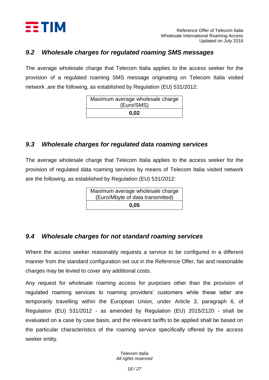

#### <span id="page-17-0"></span>*9.2 Wholesale charges for regulated roaming SMS messages*

The average wholesale charge that Telecom Italia applies to the access seeker for the provision of a regulated roaming SMS message originating on Telecom Italia visited network ,are the following, as established by Regulation (EU) 531/2012:

| Maximum average wholesale charge |
|----------------------------------|
| (Euro/SMS)                       |
| 0,02                             |

#### <span id="page-17-1"></span>*9.3 Wholesale charges for regulated data roaming services*

The average wholesale charge that Telecom Italia applies to the access seeker for the provision of regulated data roaming services by means of Telecom Italia visited network are the following, as established by Regulation (EU) 531/2012:

> Maximum average wholesale charge (Euro/Mbyte of data transmitted) **0,05**

#### <span id="page-17-2"></span>*9.4 Wholesale charges for not standard roaming services*

Where the access seeker reasonably requests a service to be configured in a different manner from the standard configuration set out in the Reference Offer, fair and reasonable charges may be levied to cover any additional costs.

Any request for wholesale roaming access for purposes other than the provision of regulated roaming services to roaming providers' customers while these latter are temporarily travelling within the European Union, under Article 3, paragraph 6, of Regulation (EU) 531/2012 - as amended by Regulation (EU) 2015/2120 - shall be evaluated on a case by case basis, and the relevant tariffs to be applied shall be based on the particular characteristics of the roaming service specifically offered by the access seeker entity.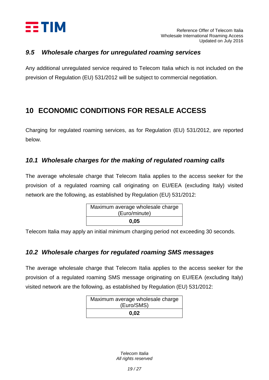

#### <span id="page-18-0"></span>*9.5 Wholesale charges for unregulated roaming services*

Any additional unregulated service required to Telecom Italia which is not included on the prevision of Regulation (EU) 531/2012 will be subject to commercial negotiation.

### <span id="page-18-1"></span>**10 ECONOMIC CONDITIONS FOR RESALE ACCESS**

Charging for regulated roaming services, as for Regulation (EU) 531/2012, are reported below.

#### <span id="page-18-2"></span>*10.1 Wholesale charges for the making of regulated roaming calls*

The average wholesale charge that Telecom Italia applies to the access seeker for the provision of a regulated roaming call originating on EU/EEA (excluding Italy) visited network are the following, as established by Regulation (EU) 531/2012:

| Maximum average wholesale charge |
|----------------------------------|
| (Euro/minute)                    |
| 0.05                             |

Telecom Italia may apply an initial minimum charging period not exceeding 30 seconds.

#### <span id="page-18-3"></span>*10.2 Wholesale charges for regulated roaming SMS messages*

The average wholesale charge that Telecom Italia applies to the access seeker for the provision of a regulated roaming SMS message originating on EU/EEA (excluding Italy) visited network are the following, as established by Regulation (EU) 531/2012:

| Maximum average wholesale charge |  |
|----------------------------------|--|
| (Euro/SMS)                       |  |
| 0.02                             |  |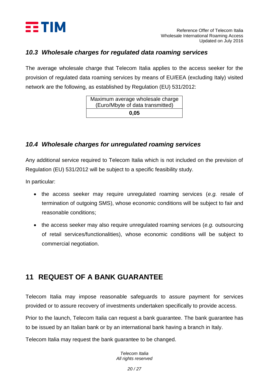

#### <span id="page-19-0"></span>*10.3 Wholesale charges for regulated data roaming services*

The average wholesale charge that Telecom Italia applies to the access seeker for the provision of regulated data roaming services by means of EU/EEA (excluding Italy) visited network are the following, as established by Regulation (EU) 531/2012:

| Maximum average wholesale charge |
|----------------------------------|
| (Euro/Mbyte of data transmitted) |
| 0.05                             |

#### <span id="page-19-1"></span>*10.4 Wholesale charges for unregulated roaming services*

Any additional service required to Telecom Italia which is not included on the prevision of Regulation (EU) 531/2012 will be subject to a specific feasibility study.

In particular:

- the access seeker may require unregulated roaming services (*e.g.* resale of termination of outgoing SMS), whose economic conditions will be subject to fair and reasonable conditions;
- the access seeker may also require unregulated roaming services (*e.g.* outsourcing of retail services/functionalities), whose economic conditions will be subject to commercial negotiation.

### <span id="page-19-2"></span>**11 REQUEST OF A BANK GUARANTEE**

Telecom Italia may impose reasonable safeguards to assure payment for services provided or to assure recovery of investments undertaken specifically to provide access.

Prior to the launch, Telecom Italia can request a bank guarantee. The bank guarantee has to be issued by an Italian bank or by an international bank having a branch in Italy.

Telecom Italia may request the bank guarantee to be changed.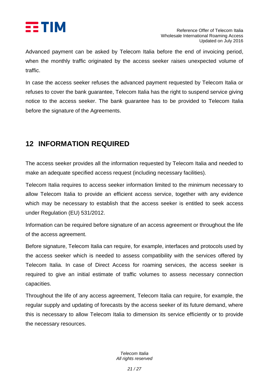

Advanced payment can be asked by Telecom Italia before the end of invoicing period, when the monthly traffic originated by the access seeker raises unexpected volume of traffic.

In case the access seeker refuses the advanced payment requested by Telecom Italia or refuses to cover the bank guarantee, Telecom Italia has the right to suspend service giving notice to the access seeker. The bank guarantee has to be provided to Telecom Italia before the signature of the Agreements.

### <span id="page-20-0"></span>**12 INFORMATION REQUIRED**

The access seeker provides all the information requested by Telecom Italia and needed to make an adequate specified access request (including necessary facilities).

Telecom Italia requires to access seeker information limited to the minimum necessary to allow Telecom Italia to provide an efficient access service, together with any evidence which may be necessary to establish that the access seeker is entitled to seek access under Regulation (EU) 531/2012.

Information can be required before signature of an access agreement or throughout the life of the access agreement.

Before signature, Telecom Italia can require, for example, interfaces and protocols used by the access seeker which is needed to assess compatibility with the services offered by Telecom Italia. In case of Direct Access for roaming services, the access seeker is required to give an initial estimate of traffic volumes to assess necessary connection capacities.

Throughout the life of any access agreement, Telecom Italia can require, for example, the regular supply and updating of forecasts by the access seeker of its future demand, where this is necessary to allow Telecom Italia to dimension its service efficiently or to provide the necessary resources.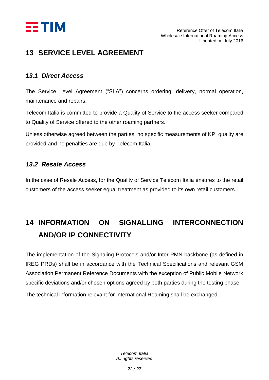

### <span id="page-21-0"></span>**13 SERVICE LEVEL AGREEMENT**

#### <span id="page-21-1"></span>*13.1 Direct Access*

The Service Level Agreement ("SLA") concerns ordering, delivery, normal operation, maintenance and repairs.

Telecom Italia is committed to provide a Quality of Service to the access seeker compared to Quality of Service offered to the other roaming partners.

Unless otherwise agreed between the parties, no specific measurements of KPI quality are provided and no penalties are due by Telecom Italia.

#### <span id="page-21-2"></span>*13.2 Resale Access*

In the case of Resale Access, for the Quality of Service Telecom Italia ensures to the retail customers of the access seeker equal treatment as provided to its own retail customers.

# <span id="page-21-3"></span>**14 INFORMATION ON SIGNALLING INTERCONNECTION AND/OR IP CONNECTIVITY**

The implementation of the Signaling Protocols and/or Inter-PMN backbone (as defined in IREG PRDs) shall be in accordance with the Technical Specifications and relevant GSM Association Permanent Reference Documents with the exception of Public Mobile Network specific deviations and/or chosen options agreed by both parties during the testing phase.

The technical information relevant for International Roaming shall be exchanged.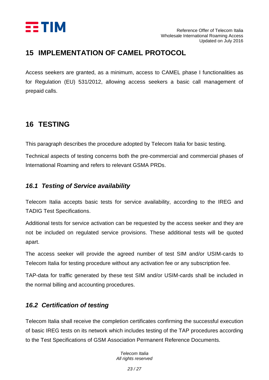

#### <span id="page-22-0"></span>**15 IMPLEMENTATION OF CAMEL PROTOCOL**

Access seekers are granted, as a minimum, access to CAMEL phase I functionalities as for Regulation (EU) 531/2012, allowing access seekers a basic call management of prepaid calls.

### <span id="page-22-1"></span>**16 TESTING**

This paragraph describes the procedure adopted by Telecom Italia for basic testing.

Technical aspects of testing concerns both the pre-commercial and commercial phases of International Roaming and refers to relevant GSMA PRDs.

#### <span id="page-22-2"></span>*16.1 Testing of Service availability*

Telecom Italia accepts basic tests for service availability, according to the IREG and TADIG Test Specifications.

Additional tests for service activation can be requested by the access seeker and they are not be included on regulated service provisions. These additional tests will be quoted apart.

The access seeker will provide the agreed number of test SIM and/or USIM-cards to Telecom Italia for testing procedure without any activation fee or any subscription fee.

TAP-data for traffic generated by these test SIM and/or USIM-cards shall be included in the normal billing and accounting procedures.

#### <span id="page-22-3"></span>*16.2 Certification of testing*

Telecom Italia shall receive the completion certificates confirming the successful execution of basic IREG tests on its network which includes testing of the TAP procedures according to the Test Specifications of GSM Association Permanent Reference Documents.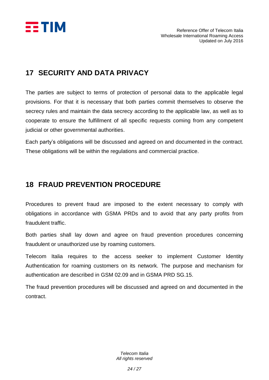

### <span id="page-23-0"></span>**17 SECURITY AND DATA PRIVACY**

The parties are subject to terms of protection of personal data to the applicable legal provisions. For that it is necessary that both parties commit themselves to observe the secrecy rules and maintain the data secrecy according to the applicable law, as well as to cooperate to ensure the fulfillment of all specific requests coming from any competent judicial or other governmental authorities.

Each party's obligations will be discussed and agreed on and documented in the contract. These obligations will be within the regulations and commercial practice.

### <span id="page-23-1"></span>**18 FRAUD PREVENTION PROCEDURE**

Procedures to prevent fraud are imposed to the extent necessary to comply with obligations in accordance with GSMA PRDs and to avoid that any party profits from fraudulent traffic.

Both parties shall lay down and agree on fraud prevention procedures concerning fraudulent or unauthorized use by roaming customers.

Telecom Italia requires to the access seeker to implement Customer Identity Authentication for roaming customers on its network. The purpose and mechanism for authentication are described in GSM 02.09 and in GSMA PRD SG.15.

The fraud prevention procedures will be discussed and agreed on and documented in the contract.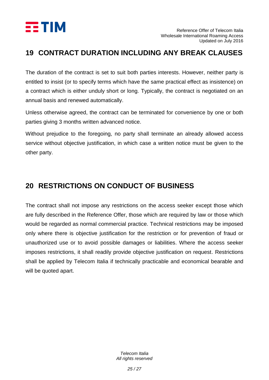

#### <span id="page-24-0"></span>**19 CONTRACT DURATION INCLUDING ANY BREAK CLAUSES**

The duration of the contract is set to suit both parties interests. However, neither party is entitled to insist (or to specify terms which have the same practical effect as insistence) on a contract which is either unduly short or long. Typically, the contract is negotiated on an annual basis and renewed automatically.

Unless otherwise agreed, the contract can be terminated for convenience by one or both parties giving 3 months written advanced notice.

Without prejudice to the foregoing, no party shall terminate an already allowed access service without objective justification, in which case a written notice must be given to the other party.

### <span id="page-24-1"></span>**20 RESTRICTIONS ON CONDUCT OF BUSINESS**

The contract shall not impose any restrictions on the access seeker except those which are fully described in the Reference Offer, those which are required by law or those which would be regarded as normal commercial practice. Technical restrictions may be imposed only where there is objective justification for the restriction or for prevention of fraud or unauthorized use or to avoid possible damages or liabilities. Where the access seeker imposes restrictions, it shall readily provide objective justification on request. Restrictions shall be applied by Telecom Italia if technically practicable and economical bearable and will be quoted apart.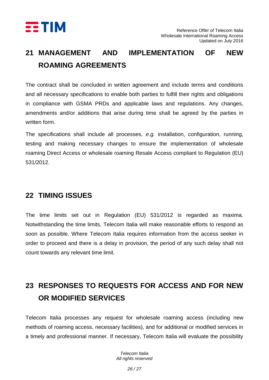

# <span id="page-25-0"></span>**21 MANAGEMENT AND IMPLEMENTATION OF NEW ROAMING AGREEMENTS**

The contract shall be concluded in written agreement and include terms and conditions and all necessary specifications to enable both parties to fulfill their rights and obligations in compliance with GSMA PRDs and applicable laws and regulations. Any changes, amendments and/or additions that arise during time shall be agreed by the parties in written form.

The specifications shall include all processes, *e.g.* installation, configuration, running, testing and making necessary changes to ensure the implementation of wholesale roaming Direct Access or wholesale roaming Resale Access compliant to Regulation (EU) 531/2012.

#### <span id="page-25-1"></span>**22 TIMING ISSUES**

The time limits set out in Regulation (EU) 531/2012 is regarded as maxima. Notwithstanding the time limits, Telecom Italia will make reasonable efforts to respond as soon as possible. Where Telecom Italia requires information from the access seeker in order to proceed and there is a delay in provision, the period of any such delay shall not count towards any relevant time limit.

## <span id="page-25-2"></span>**23 RESPONSES TO REQUESTS FOR ACCESS AND FOR NEW OR MODIFIED SERVICES**

Telecom Italia processes any request for wholesale roaming access (including new methods of roaming access, necessary facilities), and for additional or modified services in a timely and professional manner. If necessary, Telecom Italia will evaluate the possibility